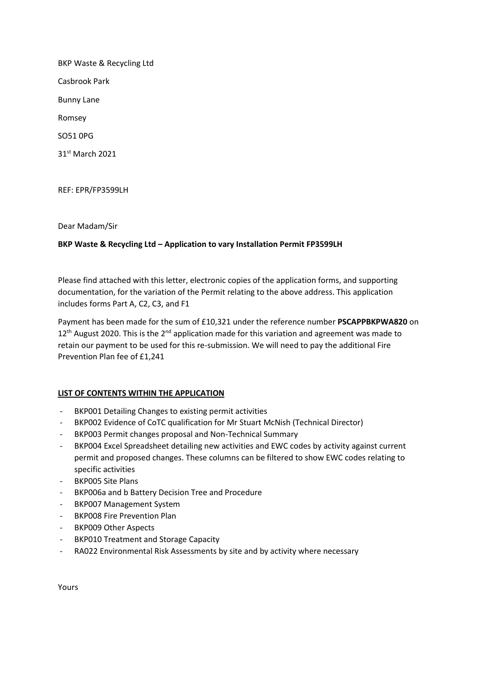BKP Waste & Recycling Ltd Casbrook Park Bunny Lane Romsey

SO51 0PG

31st March 2021

REF: EPR/FP3599LH

Dear Madam/Sir

## **BKP Waste & Recycling Ltd – Application to vary Installation Permit FP3599LH**

Please find attached with this letter, electronic copies of the application forms, and supporting documentation, for the variation of the Permit relating to the above address. This application includes forms Part A, C2, C3, and F1

Payment has been made for the sum of £10,321 under the reference number **PSCAPPBKPWA820** on  $12<sup>th</sup>$  August 2020. This is the  $2<sup>nd</sup>$  application made for this variation and agreement was made to retain our payment to be used for this re-submission. We will need to pay the additional Fire Prevention Plan fee of £1,241

## **LIST OF CONTENTS WITHIN THE APPLICATION**

- BKP001 Detailing Changes to existing permit activities
- BKP002 Evidence of CoTC qualification for Mr Stuart McNish (Technical Director)
- BKP003 Permit changes proposal and Non-Technical Summary
- BKP004 Excel Spreadsheet detailing new activities and EWC codes by activity against current permit and proposed changes. These columns can be filtered to show EWC codes relating to specific activities
- BKP005 Site Plans
- BKP006a and b Battery Decision Tree and Procedure
- BKP007 Management System
- BKP008 Fire Prevention Plan
- BKP009 Other Aspects
- BKP010 Treatment and Storage Capacity
- RA022 Environmental Risk Assessments by site and by activity where necessary

Yours